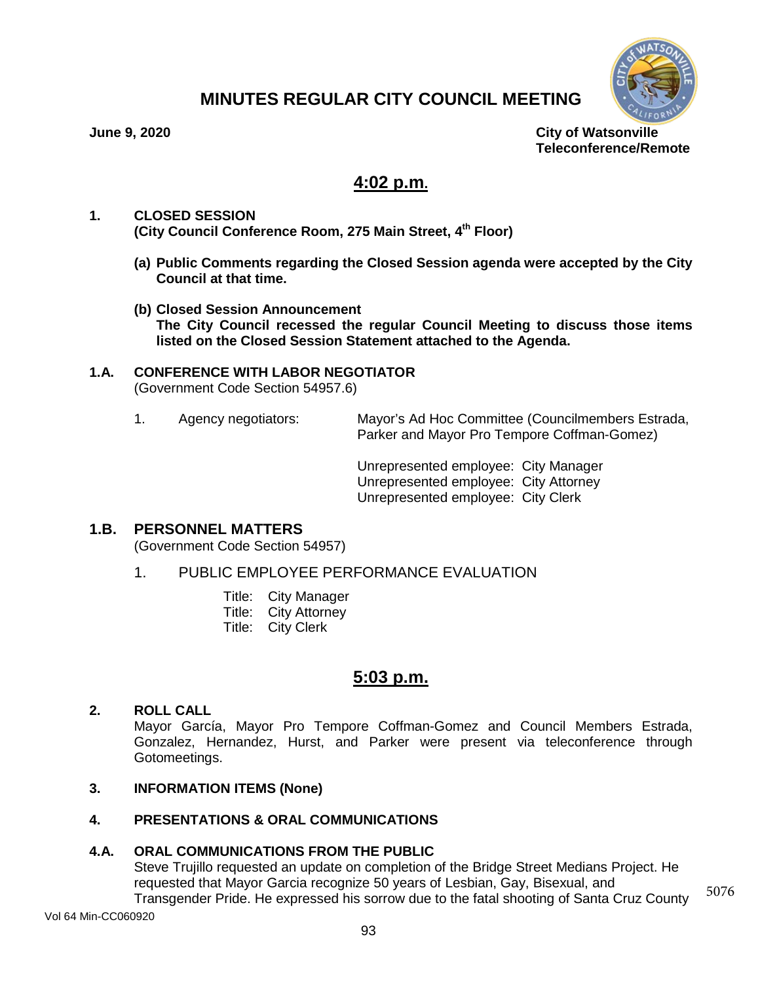

# **MINUTES REGULAR CITY COUNCIL MEETING**

**June 9, 2020 City of Watsonville Teleconference/Remote**

# **4:02 p.m.**

- **1. CLOSED SESSION (City Council Conference Room, 275 Main Street, 4th Floor)**
	- **(a) Public Comments regarding the Closed Session agenda were accepted by the City Council at that time.**
	- **(b) Closed Session Announcement The City Council recessed the regular Council Meeting to discuss those items listed on the Closed Session Statement attached to the Agenda.**

# **1.A. CONFERENCE WITH LABOR NEGOTIATOR**

(Government Code Section 54957.6)

1. Agency negotiators: Mayor's Ad Hoc Committee (Councilmembers Estrada, Parker and Mayor Pro Tempore Coffman-Gomez)

> Unrepresented employee: City Manager Unrepresented employee: City Attorney Unrepresented employee: City Clerk

# **1.B. PERSONNEL MATTERS**

(Government Code Section 54957)

1. PUBLIC EMPLOYEE PERFORMANCE EVALUATION

| Title: | City Manager         |
|--------|----------------------|
| Title: | <b>City Attorney</b> |
| Title: | <b>City Clerk</b>    |

# **5:03 p.m.**

# **2. ROLL CALL**

Mayor García, Mayor Pro Tempore Coffman-Gomez and Council Members Estrada, Gonzalez, Hernandez, Hurst, and Parker were present via teleconference through Gotomeetings.

## **3. INFORMATION ITEMS (None)**

# **4. PRESENTATIONS & ORAL COMMUNICATIONS**

## **4.A. ORAL COMMUNICATIONS FROM THE PUBLIC**

Steve Trujillo requested an update on completion of the Bridge Street Medians Project. He requested that Mayor Garcia recognize 50 years of Lesbian, Gay, Bisexual, and Transgender Pride. He expressed his sorrow due to the fatal shooting of Santa Cruz County 5076

Vol 64 Min-CC060920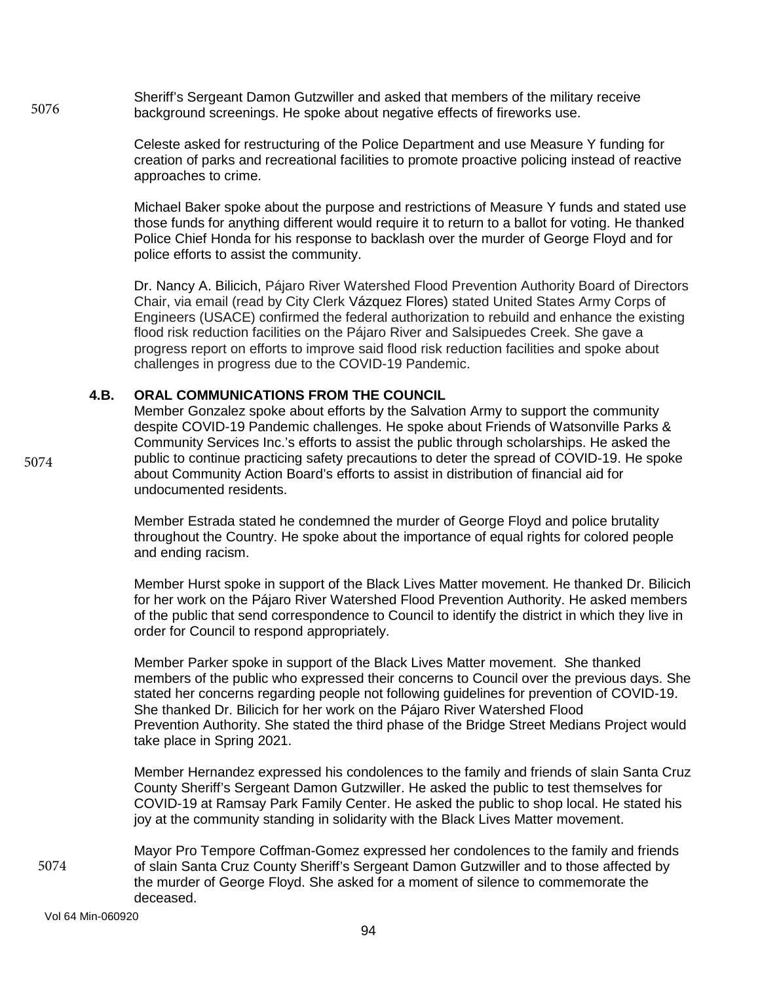Sheriff's Sergeant Damon [Gutzwiller](https://www.nbcbayarea.com/news/local/active-threat-in-ben-lomond-after-shooting-santa-cruz-county-sheriffs-office/2304856/) and asked that members of the military receive background screenings. He spoke about negative effects of fireworks use. 5076

> Celeste asked for restructuring of the Police Department and use Measure Y funding for creation of parks and recreational facilities to promote proactive policing instead of reactive approaches to crime.

> Michael Baker spoke about the purpose and restrictions of Measure Y funds and stated use those funds for anything different would require it to return to a ballot for voting. He thanked Police Chief Honda for his response to backlash over the murder of George Floyd and for police efforts to assist the community.

> Dr. Nancy A. Bilicich, Pájaro River Watershed Flood Prevention Authority Board of Directors Chair, via email (read by City Clerk Vázquez Flores) stated United States Army Corps of Engineers (USACE) confirmed the federal authorization to rebuild and enhance the existing flood risk reduction facilities on the Pájaro River and Salsipuedes Creek. She gave a progress report on efforts to improve said flood risk reduction facilities and spoke about challenges in progress due to the COVID-19 Pandemic.

### **4.B. ORAL COMMUNICATIONS FROM THE COUNCIL**

Member Gonzalez spoke about efforts by the Salvation Army to support the community despite COVID-19 Pandemic challenges. He spoke about Friends of Watsonville Parks & Community Services Inc.'s efforts to assist the public through scholarships. He asked the public to continue practicing safety precautions to deter the spread of COVID-19. He spoke about Community Action Board's efforts to assist in distribution of financial aid for undocumented residents.

Member Estrada stated he condemned the murder of George Floyd and police brutality throughout the Country. He spoke about the importance of equal rights for colored people and ending racism.

Member Hurst spoke in support of the Black Lives Matter movement. He thanked Dr. Bilicich for her work on the Pájaro River Watershed Flood Prevention Authority. He asked members of the public that send correspondence to Council to identify the district in which they live in order for Council to respond appropriately.

Member Parker spoke in support of the Black Lives Matter movement. She thanked members of the public who expressed their concerns to Council over the previous days. She stated her concerns regarding people not following guidelines for prevention of COVID-19. She thanked Dr. Bilicich for her work on the Pájaro River Watershed Flood Prevention Authority. She stated the third phase of the Bridge Street Medians Project would take place in Spring 2021.

Member Hernandez expressed his condolences to the family and friends of slain Santa Cruz County Sheriff's Sergeant Damon [Gutzwiller.](https://www.nbcbayarea.com/news/local/active-threat-in-ben-lomond-after-shooting-santa-cruz-county-sheriffs-office/2304856/) He asked the public to test themselves for COVID-19 at Ramsay Park Family Center. He asked the public to shop local. He stated his joy at the community standing in solidarity with the Black Lives Matter movement.

Mayor Pro Tempore Coffman-Gomez expressed her condolences to the family and friends of slain Santa Cruz County Sheriff's Sergeant Damon [Gutzwiller](https://www.nbcbayarea.com/news/local/active-threat-in-ben-lomond-after-shooting-santa-cruz-county-sheriffs-office/2304856/) and to those affected by the murder of George Floyd. She asked for a moment of silence to commemorate the deceased.

Vol 64 Min-060920

5074

5074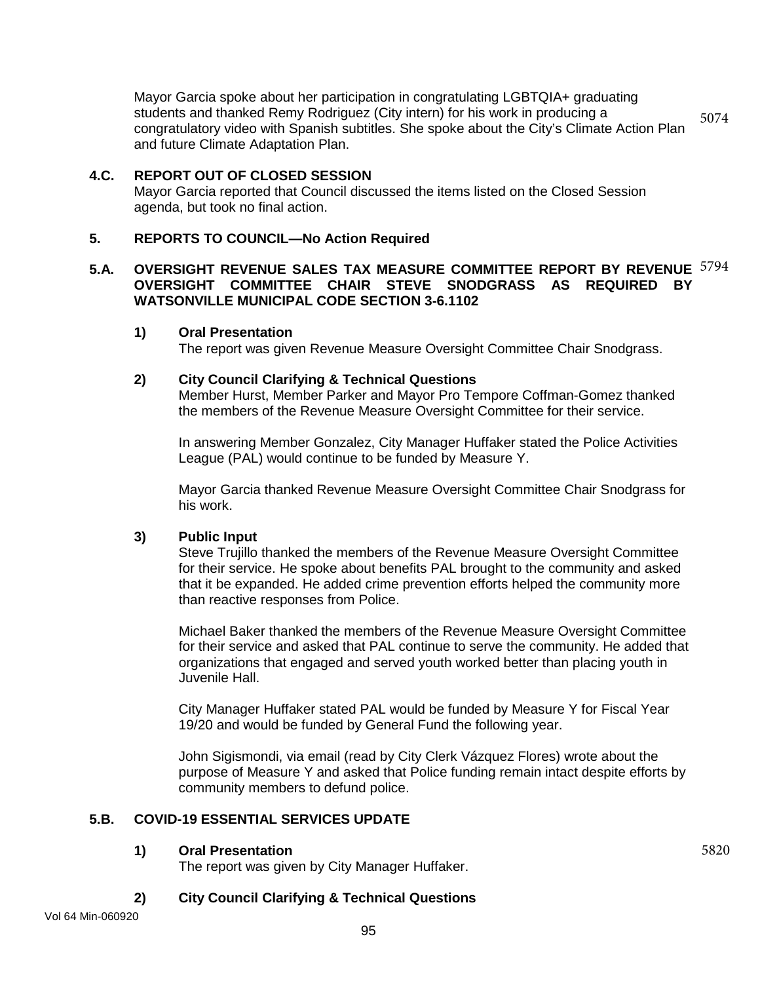Mayor Garcia spoke about her participation in congratulating LGBTQIA+ graduating students and thanked Remy Rodriguez (City intern) for his work in producing a congratulatory video with Spanish subtitles. She spoke about the City's Climate Action Plan and future Climate Adaptation Plan. 5074

# **4.C. REPORT OUT OF CLOSED SESSION**

Mayor Garcia reported that Council discussed the items listed on the Closed Session agenda, but took no final action.

# **5. REPORTS TO COUNCIL—No Action Required**

## **5.A. OVERSIGHT REVENUE SALES TAX MEASURE COMMITTEE REPORT BY REVENUE** 5794 **OVERSIGHT COMMITTEE CHAIR STEVE SNODGRASS AS REQUIRED BY WATSONVILLE MUNICIPAL CODE SECTION 3-6.1102**

### **1) Oral Presentation**

The report was given Revenue Measure Oversight Committee Chair Snodgrass.

### **2) City Council Clarifying & Technical Questions**

Member Hurst, Member Parker and Mayor Pro Tempore Coffman-Gomez thanked the members of the Revenue Measure Oversight Committee for their service.

In answering Member Gonzalez, City Manager Huffaker stated the Police Activities League (PAL) would continue to be funded by Measure Y.

Mayor Garcia thanked Revenue Measure Oversight Committee Chair Snodgrass for his work.

## **3) Public Input**

Steve Trujillo thanked the members of the Revenue Measure Oversight Committee for their service. He spoke about benefits PAL brought to the community and asked that it be expanded. He added crime prevention efforts helped the community more than reactive responses from Police.

Michael Baker thanked the members of the Revenue Measure Oversight Committee for their service and asked that PAL continue to serve the community. He added that organizations that engaged and served youth worked better than placing youth in Juvenile Hall.

City Manager Huffaker stated PAL would be funded by Measure Y for Fiscal Year 19/20 and would be funded by General Fund the following year.

John Sigismondi, via email (read by City Clerk Vázquez Flores) wrote about the purpose of Measure Y and asked that Police funding remain intact despite efforts by community members to defund police.

5820

# **5.B. COVID-19 ESSENTIAL SERVICES UPDATE**

## **1) Oral Presentation**

The report was given by City Manager Huffaker.

## **2) City Council Clarifying & Technical Questions**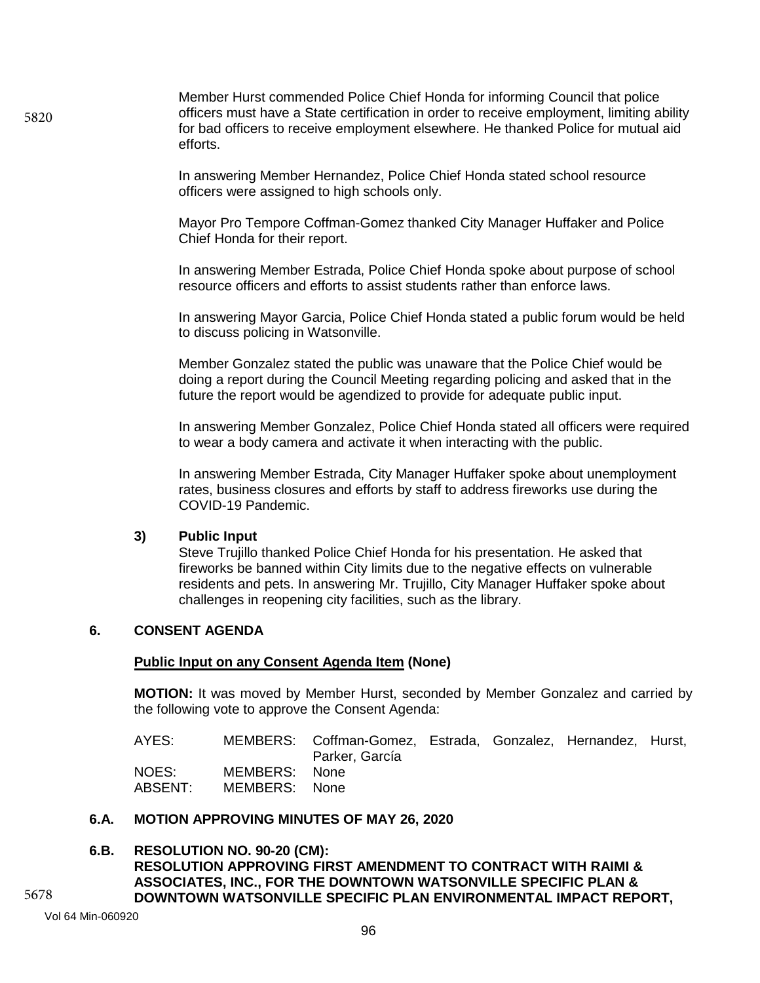Member Hurst commended Police Chief Honda for informing Council that police officers must have a State certification in order to receive employment, limiting ability for bad officers to receive employment elsewhere. He thanked Police for mutual aid efforts.

In answering Member Hernandez, Police Chief Honda stated school resource officers were assigned to high schools only.

Mayor Pro Tempore Coffman-Gomez thanked City Manager Huffaker and Police Chief Honda for their report.

In answering Member Estrada, Police Chief Honda spoke about purpose of school resource officers and efforts to assist students rather than enforce laws.

In answering Mayor Garcia, Police Chief Honda stated a public forum would be held to discuss policing in Watsonville.

Member Gonzalez stated the public was unaware that the Police Chief would be doing a report during the Council Meeting regarding policing and asked that in the future the report would be agendized to provide for adequate public input.

In answering Member Gonzalez, Police Chief Honda stated all officers were required to wear a body camera and activate it when interacting with the public.

In answering Member Estrada, City Manager Huffaker spoke about unemployment rates, business closures and efforts by staff to address fireworks use during the COVID-19 Pandemic.

### **3) Public Input**

Steve Trujillo thanked Police Chief Honda for his presentation. He asked that fireworks be banned within City limits due to the negative effects on vulnerable residents and pets. In answering Mr. Trujillo, City Manager Huffaker spoke about challenges in reopening city facilities, such as the library.

### **6. CONSENT AGENDA**

#### **Public Input on any Consent Agenda Item (None)**

**MOTION:** It was moved by Member Hurst, seconded by Member Gonzalez and carried by the following vote to approve the Consent Agenda:

| AYES:              |                                | MEMBERS: Coffman-Gomez, Estrada, Gonzalez, Hernandez, Hurst,<br>Parker, García |  |  |
|--------------------|--------------------------------|--------------------------------------------------------------------------------|--|--|
| NOES: I<br>ABSENT: | MEMBERS: None<br>MEMBERS: None |                                                                                |  |  |

# **6.A. MOTION APPROVING MINUTES OF MAY 26, 2020**

### **6.B. RESOLUTION NO. 90-20 (CM): RESOLUTION APPROVING FIRST AMENDMENT TO CONTRACT WITH RAIMI & ASSOCIATES, INC., FOR THE DOWNTOWN WATSONVILLE SPECIFIC PLAN & DOWNTOWN WATSONVILLE SPECIFIC PLAN ENVIRONMENTAL IMPACT REPORT,**

5678

5820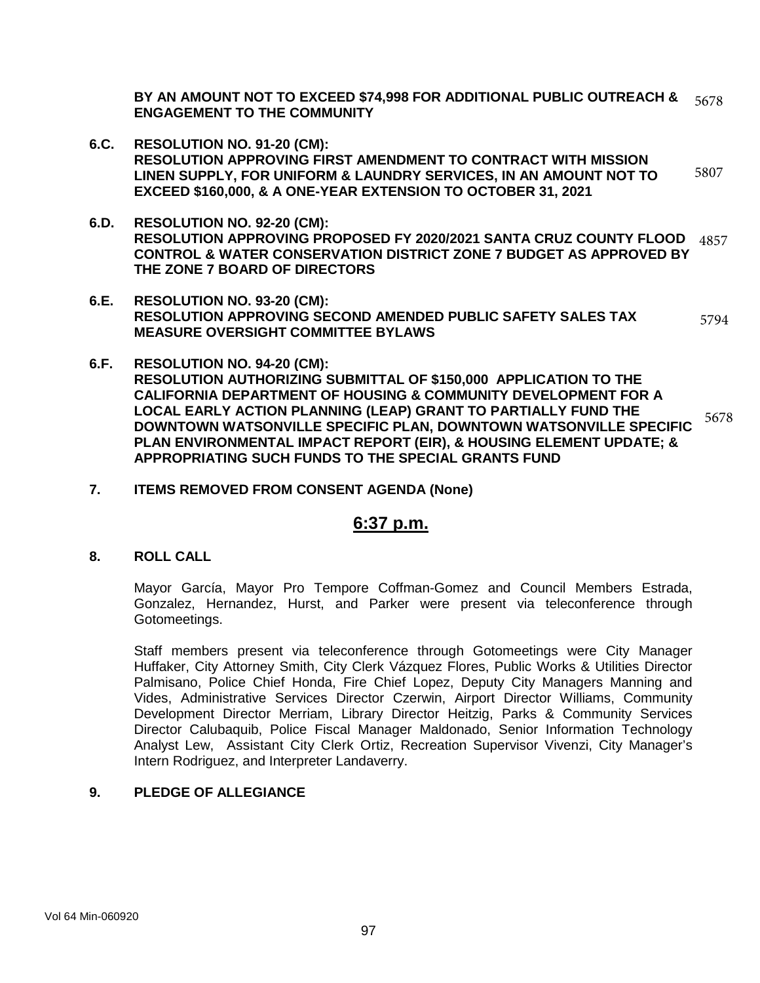**BY AN AMOUNT NOT TO EXCEED \$74,998 FOR ADDITIONAL PUBLIC OUTREACH & ENGAGEMENT TO THE COMMUNITY** 5678

- **6.C. RESOLUTION NO. 91-20 (CM): RESOLUTION APPROVING FIRST AMENDMENT TO CONTRACT WITH MISSION LINEN SUPPLY, FOR UNIFORM & LAUNDRY SERVICES, IN AN AMOUNT NOT TO EXCEED \$160,000, & A ONE-YEAR EXTENSION TO OCTOBER 31, 2021** 5807
- **6.D. RESOLUTION NO. 92-20 (CM): RESOLUTION APPROVING PROPOSED FY 2020/2021 SANTA CRUZ COUNTY FLOOD**  4857 **CONTROL & WATER CONSERVATION DISTRICT ZONE 7 BUDGET AS APPROVED BY THE ZONE 7 BOARD OF DIRECTORS**
- **6.E. RESOLUTION NO. 93-20 (CM): RESOLUTION APPROVING SECOND AMENDED PUBLIC SAFETY SALES TAX MEASURE OVERSIGHT COMMITTEE BYLAWS** 5794
- **6.F. RESOLUTION NO. 94-20 (CM): RESOLUTION AUTHORIZING SUBMITTAL OF \$150,000 APPLICATION TO THE CALIFORNIA DEPARTMENT OF HOUSING & COMMUNITY DEVELOPMENT FOR A LOCAL EARLY ACTION PLANNING (LEAP) GRANT TO PARTIALLY FUND THE DOWNTOWN WATSONVILLE SPECIFIC PLAN, DOWNTOWN WATSONVILLE SPECIFIC PLAN ENVIRONMENTAL IMPACT REPORT (EIR), & HOUSING ELEMENT UPDATE; & APPROPRIATING SUCH FUNDS TO THE SPECIAL GRANTS FUND** 5678
- **7. ITEMS REMOVED FROM CONSENT AGENDA (None)**

# **6:37 p.m.**

**8. ROLL CALL**

Mayor García, Mayor Pro Tempore Coffman-Gomez and Council Members Estrada, Gonzalez, Hernandez, Hurst, and Parker were present via teleconference through Gotomeetings.

Staff members present via teleconference through Gotomeetings were City Manager Huffaker, City Attorney Smith, City Clerk Vázquez Flores, Public Works & Utilities Director Palmisano, Police Chief Honda, Fire Chief Lopez, Deputy City Managers Manning and Vides, Administrative Services Director Czerwin, Airport Director Williams, Community Development Director Merriam, Library Director Heitzig, Parks & Community Services Director Calubaquib, Police Fiscal Manager Maldonado, Senior Information Technology Analyst Lew, Assistant City Clerk Ortiz, Recreation Supervisor Vivenzi, City Manager's Intern Rodriguez, and Interpreter Landaverry.

# **9. PLEDGE OF ALLEGIANCE**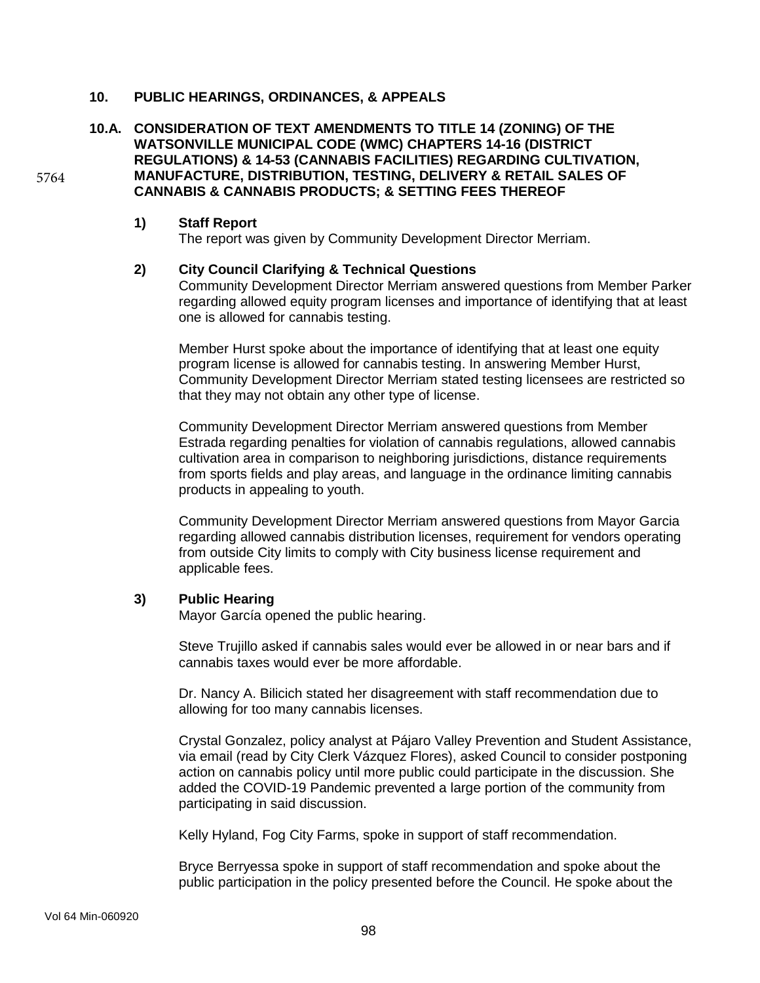### **10. PUBLIC HEARINGS, ORDINANCES, & APPEALS**

### **10.A. CONSIDERATION OF TEXT AMENDMENTS TO TITLE 14 (ZONING) OF THE WATSONVILLE MUNICIPAL CODE (WMC) CHAPTERS 14-16 (DISTRICT REGULATIONS) & 14-53 (CANNABIS FACILITIES) REGARDING CULTIVATION, MANUFACTURE, DISTRIBUTION, TESTING, DELIVERY & RETAIL SALES OF CANNABIS & CANNABIS PRODUCTS; & SETTING FEES THEREOF**

#### **1) Staff Report**

5764

The report was given by Community Development Director Merriam.

### **2) City Council Clarifying & Technical Questions**

Community Development Director Merriam answered questions from Member Parker regarding allowed equity program licenses and importance of identifying that at least one is allowed for cannabis testing.

Member Hurst spoke about the importance of identifying that at least one equity program license is allowed for cannabis testing. In answering Member Hurst, Community Development Director Merriam stated testing licensees are restricted so that they may not obtain any other type of license.

Community Development Director Merriam answered questions from Member Estrada regarding penalties for violation of cannabis regulations, allowed cannabis cultivation area in comparison to neighboring jurisdictions, distance requirements from sports fields and play areas, and language in the ordinance limiting cannabis products in appealing to youth.

Community Development Director Merriam answered questions from Mayor Garcia regarding allowed cannabis distribution licenses, requirement for vendors operating from outside City limits to comply with City business license requirement and applicable fees.

### **3) Public Hearing**

Mayor García opened the public hearing.

Steve Trujillo asked if cannabis sales would ever be allowed in or near bars and if cannabis taxes would ever be more affordable.

Dr. Nancy A. Bilicich stated her disagreement with staff recommendation due to allowing for too many cannabis licenses.

Crystal Gonzalez, policy analyst at Pájaro Valley Prevention and Student Assistance, via email (read by City Clerk Vázquez Flores), asked Council to consider postponing action on cannabis policy until more public could participate in the discussion. She added the COVID-19 Pandemic prevented a large portion of the community from participating in said discussion.

Kelly Hyland, Fog City Farms, spoke in support of staff recommendation.

Bryce Berryessa spoke in support of staff recommendation and spoke about the public participation in the policy presented before the Council. He spoke about the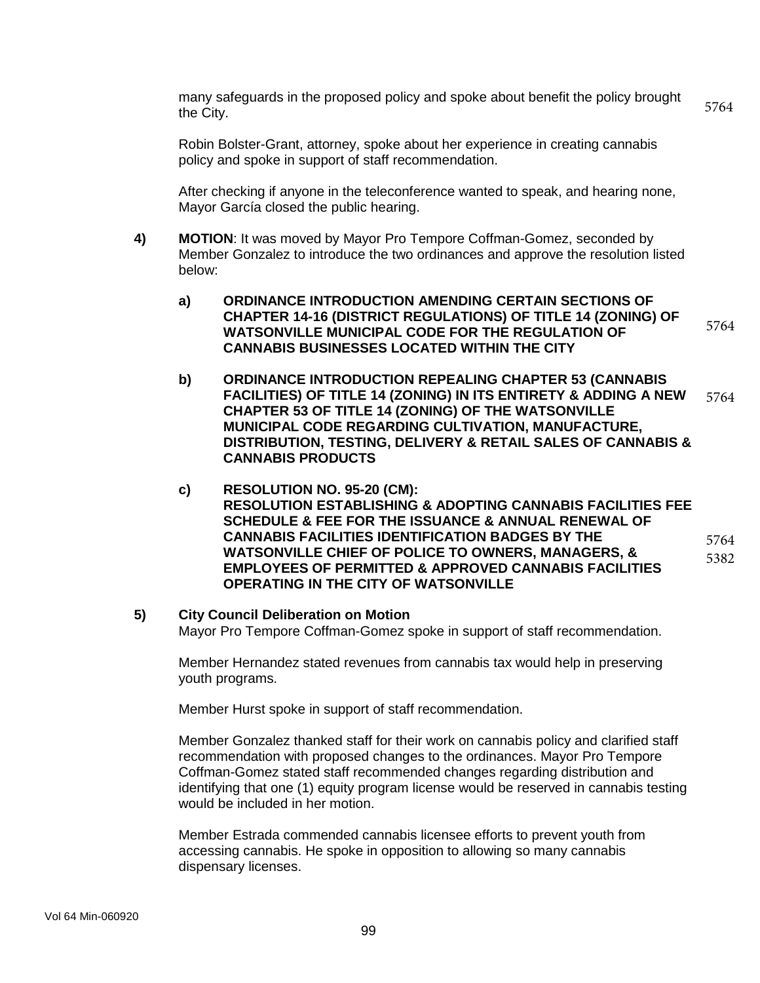many safeguards in the proposed policy and spoke about benefit the policy brought the City. 5764

Robin Bolster-Grant, attorney, spoke about her experience in creating cannabis policy and spoke in support of staff recommendation.

After checking if anyone in the teleconference wanted to speak, and hearing none, Mayor García closed the public hearing.

- **4) MOTION**: It was moved by Mayor Pro Tempore Coffman-Gomez, seconded by Member Gonzalez to introduce the two ordinances and approve the resolution listed below:
	- **a) ORDINANCE INTRODUCTION AMENDING CERTAIN SECTIONS OF CHAPTER 14-16 (DISTRICT REGULATIONS) OF TITLE 14 (ZONING) OF WATSONVILLE MUNICIPAL CODE FOR THE REGULATION OF CANNABIS BUSINESSES LOCATED WITHIN THE CITY** 5764
	- **b) ORDINANCE INTRODUCTION REPEALING CHAPTER 53 (CANNABIS FACILITIES) OF TITLE 14 (ZONING) IN ITS ENTIRETY & ADDING A NEW CHAPTER 53 OF TITLE 14 (ZONING) OF THE WATSONVILLE MUNICIPAL CODE REGARDING CULTIVATION, MANUFACTURE, DISTRIBUTION, TESTING, DELIVERY & RETAIL SALES OF CANNABIS & CANNABIS PRODUCTS** 5764
	- **c) RESOLUTION NO. 95-20 (CM): RESOLUTION ESTABLISHING & ADOPTING CANNABIS FACILITIES FEE SCHEDULE & FEE FOR THE ISSUANCE & ANNUAL RENEWAL OF CANNABIS FACILITIES IDENTIFICATION BADGES BY THE WATSONVILLE CHIEF OF POLICE TO OWNERS, MANAGERS, & EMPLOYEES OF PERMITTED & APPROVED CANNABIS FACILITIES OPERATING IN THE CITY OF WATSONVILLE** 5764 5382

#### **5) City Council Deliberation on Motion**

Mayor Pro Tempore Coffman-Gomez spoke in support of staff recommendation.

Member Hernandez stated revenues from cannabis tax would help in preserving youth programs.

Member Hurst spoke in support of staff recommendation.

Member Gonzalez thanked staff for their work on cannabis policy and clarified staff recommendation with proposed changes to the ordinances. Mayor Pro Tempore Coffman-Gomez stated staff recommended changes regarding distribution and identifying that one (1) equity program license would be reserved in cannabis testing would be included in her motion.

Member Estrada commended cannabis licensee efforts to prevent youth from accessing cannabis. He spoke in opposition to allowing so many cannabis dispensary licenses.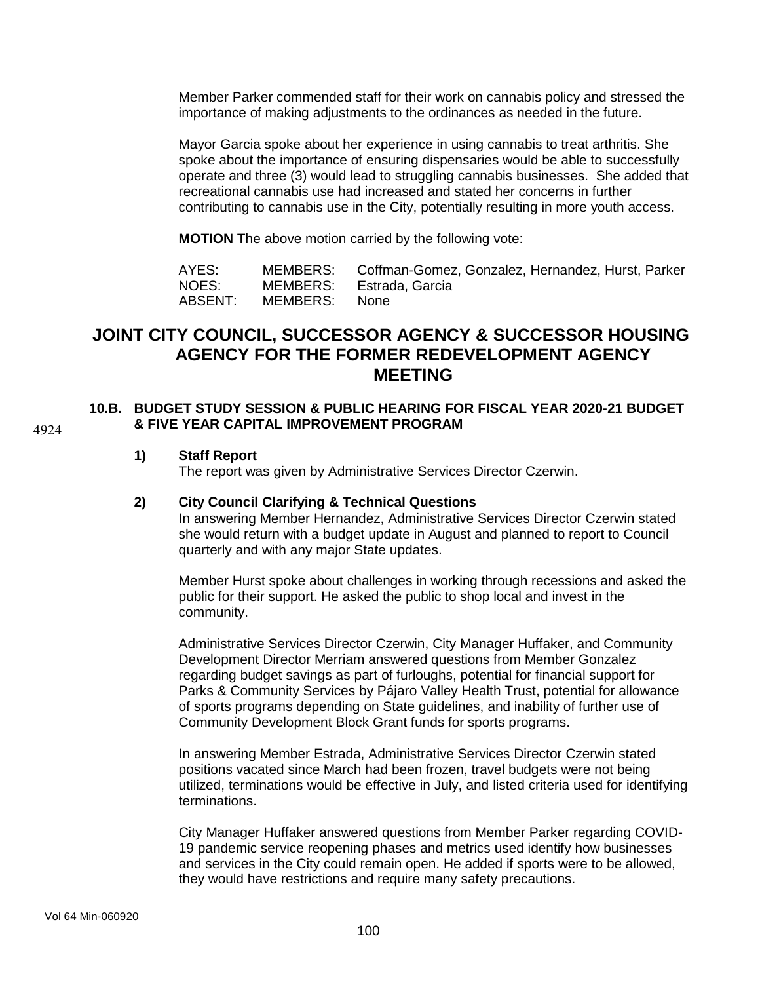Member Parker commended staff for their work on cannabis policy and stressed the importance of making adjustments to the ordinances as needed in the future.

Mayor Garcia spoke about her experience in using cannabis to treat arthritis. She spoke about the importance of ensuring dispensaries would be able to successfully operate and three (3) would lead to struggling cannabis businesses. She added that recreational cannabis use had increased and stated her concerns in further contributing to cannabis use in the City, potentially resulting in more youth access.

**MOTION** The above motion carried by the following vote:

| AYES:   |               | MEMBERS: Coffman-Gomez, Gonzalez, Hernandez, Hurst, Parker |
|---------|---------------|------------------------------------------------------------|
| NOES:   |               | MEMBERS: Estrada, Garcia                                   |
| ABSENT: | MEMBERS: None |                                                            |

# **JOINT CITY COUNCIL, SUCCESSOR AGENCY & SUCCESSOR HOUSING AGENCY FOR THE FORMER REDEVELOPMENT AGENCY MEETING**

#### **10.B. BUDGET STUDY SESSION & PUBLIC HEARING FOR FISCAL YEAR 2020-21 BUDGET & FIVE YEAR CAPITAL IMPROVEMENT PROGRAM**

4924

### **1) Staff Report**

The report was given by Administrative Services Director Czerwin.

### **2) City Council Clarifying & Technical Questions**

In answering Member Hernandez, Administrative Services Director Czerwin stated she would return with a budget update in August and planned to report to Council quarterly and with any major State updates.

Member Hurst spoke about challenges in working through recessions and asked the public for their support. He asked the public to shop local and invest in the community.

Administrative Services Director Czerwin, City Manager Huffaker, and Community Development Director Merriam answered questions from Member Gonzalez regarding budget savings as part of furloughs, potential for financial support for Parks & Community Services by Pájaro Valley Health Trust, potential for allowance of sports programs depending on State guidelines, and inability of further use of Community Development Block Grant funds for sports programs.

In answering Member Estrada, Administrative Services Director Czerwin stated positions vacated since March had been frozen, travel budgets were not being utilized, terminations would be effective in July, and listed criteria used for identifying terminations.

City Manager Huffaker answered questions from Member Parker regarding COVID-19 pandemic service reopening phases and metrics used identify how businesses and services in the City could remain open. He added if sports were to be allowed, they would have restrictions and require many safety precautions.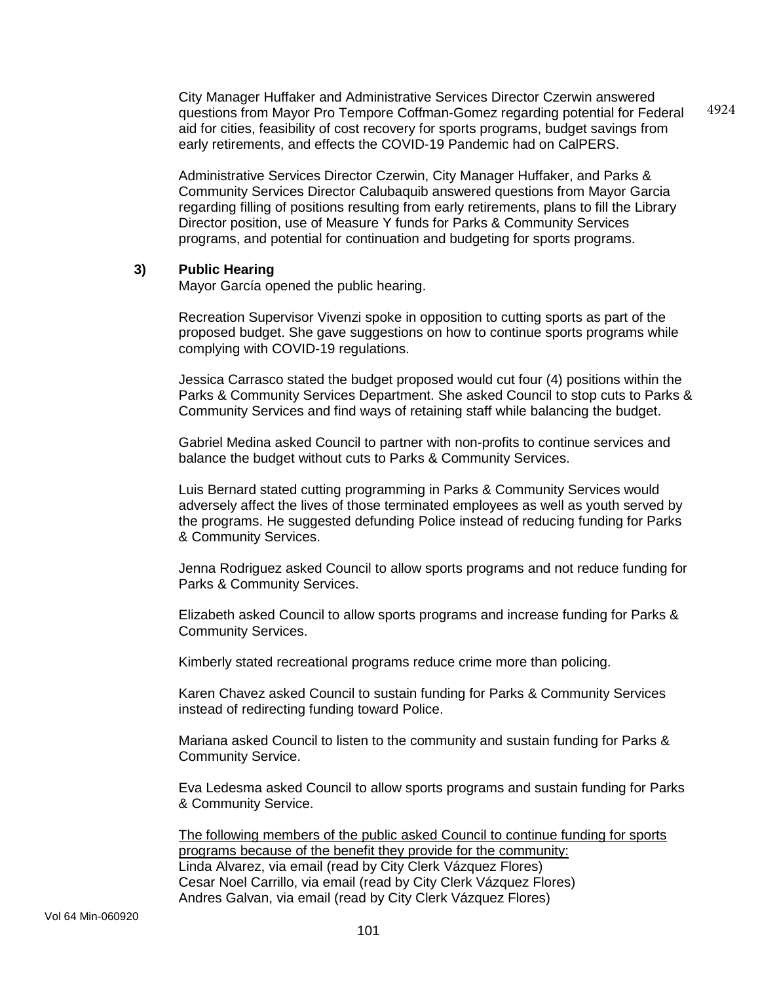City Manager Huffaker and Administrative Services Director Czerwin answered questions from Mayor Pro Tempore Coffman-Gomez regarding potential for Federal aid for cities, feasibility of cost recovery for sports programs, budget savings from early retirements, and effects the COVID-19 Pandemic had on CalPERS. 4924

Administrative Services Director Czerwin, City Manager Huffaker, and Parks & Community Services Director Calubaquib answered questions from Mayor Garcia regarding filling of positions resulting from early retirements, plans to fill the Library Director position, use of Measure Y funds for Parks & Community Services programs, and potential for continuation and budgeting for sports programs.

### **3) Public Hearing**

Mayor García opened the public hearing.

Recreation Supervisor Vivenzi spoke in opposition to cutting sports as part of the proposed budget. She gave suggestions on how to continue sports programs while complying with COVID-19 regulations.

Jessica Carrasco stated the budget proposed would cut four (4) positions within the Parks & Community Services Department. She asked Council to stop cuts to Parks & Community Services and find ways of retaining staff while balancing the budget.

Gabriel Medina asked Council to partner with non-profits to continue services and balance the budget without cuts to Parks & Community Services.

Luis Bernard stated cutting programming in Parks & Community Services would adversely affect the lives of those terminated employees as well as youth served by the programs. He suggested defunding Police instead of reducing funding for Parks & Community Services.

Jenna Rodriguez asked Council to allow sports programs and not reduce funding for Parks & Community Services.

Elizabeth asked Council to allow sports programs and increase funding for Parks & Community Services.

Kimberly stated recreational programs reduce crime more than policing.

Karen Chavez asked Council to sustain funding for Parks & Community Services instead of redirecting funding toward Police.

Mariana asked Council to listen to the community and sustain funding for Parks & Community Service.

Eva Ledesma asked Council to allow sports programs and sustain funding for Parks & Community Service.

The following members of the public asked Council to continue funding for sports programs because of the benefit they provide for the community: Linda Alvarez, via email (read by City Clerk Vázquez Flores) Cesar Noel Carrillo, via email (read by City Clerk Vázquez Flores) Andres Galvan, via email (read by City Clerk Vázquez Flores)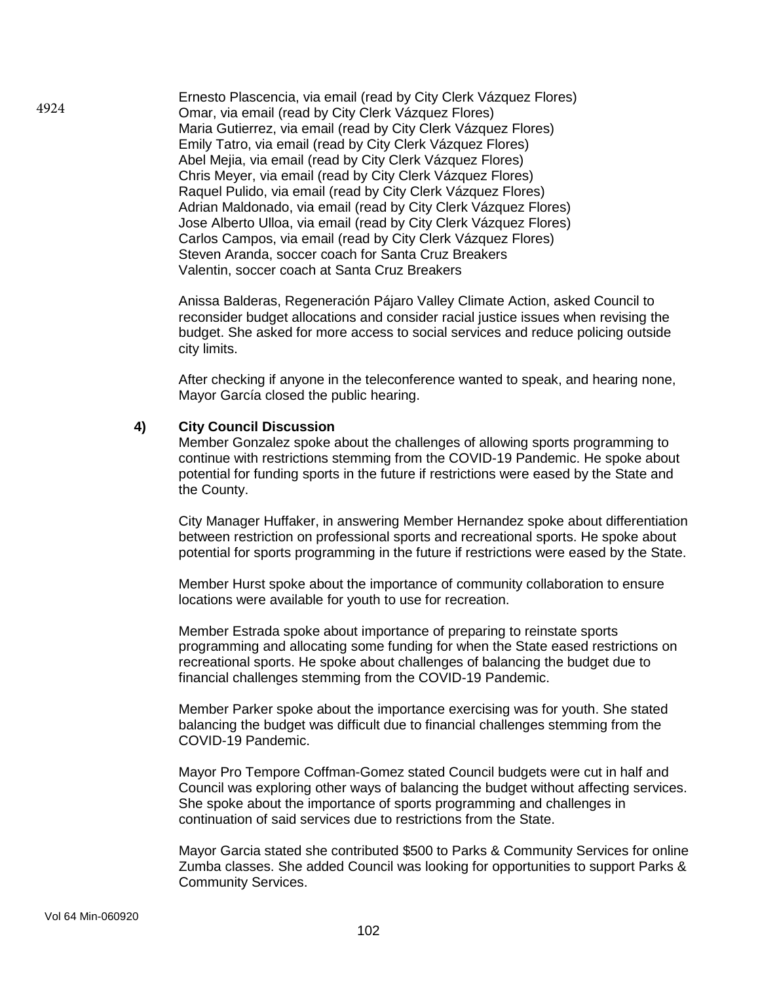Ernesto Plascencia, via email (read by City Clerk Vázquez Flores) Omar, via email (read by City Clerk Vázquez Flores) Maria Gutierrez, via email (read by City Clerk Vázquez Flores) Emily Tatro, via email (read by City Clerk Vázquez Flores) Abel Mejia, via email (read by City Clerk Vázquez Flores) Chris Meyer, via email (read by City Clerk Vázquez Flores) Raquel Pulido, via email (read by City Clerk Vázquez Flores) Adrian Maldonado, via email (read by City Clerk Vázquez Flores) Jose Alberto Ulloa, via email (read by City Clerk Vázquez Flores) Carlos Campos, via email (read by City Clerk Vázquez Flores) Steven Aranda, soccer coach for Santa Cruz Breakers Valentin, soccer coach at Santa Cruz Breakers

Anissa Balderas, Regeneración Pájaro Valley Climate Action, asked Council to reconsider budget allocations and consider racial justice issues when revising the budget. She asked for more access to social services and reduce policing outside city limits.

After checking if anyone in the teleconference wanted to speak, and hearing none, Mayor García closed the public hearing.

### **4) City Council Discussion**

Member Gonzalez spoke about the challenges of allowing sports programming to continue with restrictions stemming from the COVID-19 Pandemic. He spoke about potential for funding sports in the future if restrictions were eased by the State and the County.

City Manager Huffaker, in answering Member Hernandez spoke about differentiation between restriction on professional sports and recreational sports. He spoke about potential for sports programming in the future if restrictions were eased by the State.

Member Hurst spoke about the importance of community collaboration to ensure locations were available for youth to use for recreation.

Member Estrada spoke about importance of preparing to reinstate sports programming and allocating some funding for when the State eased restrictions on recreational sports. He spoke about challenges of balancing the budget due to financial challenges stemming from the COVID-19 Pandemic.

Member Parker spoke about the importance exercising was for youth. She stated balancing the budget was difficult due to financial challenges stemming from the COVID-19 Pandemic.

Mayor Pro Tempore Coffman-Gomez stated Council budgets were cut in half and Council was exploring other ways of balancing the budget without affecting services. She spoke about the importance of sports programming and challenges in continuation of said services due to restrictions from the State.

Mayor Garcia stated she contributed \$500 to Parks & Community Services for online Zumba classes. She added Council was looking for opportunities to support Parks & Community Services.

4924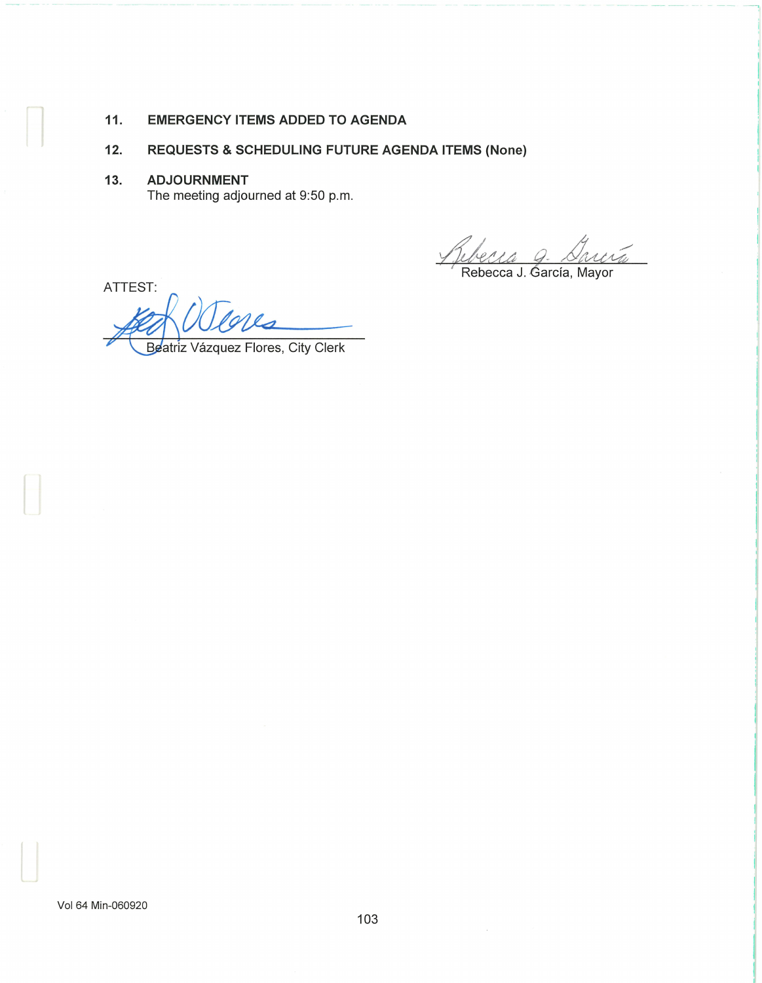# **11. EMERGENCY ITEMS ADDED TO AGENDA**

# **12. REQUESTS & SCHEDULING FUTURE AGENDA ITEMS (None)**

13. **ADJOURNMENT**  The meeting adjourned at 9:50 p.m.

ATTEST:

*Auberra Q. Sanco*<br>Rebecca J. García, Mayor  $44$   $Q$ 4<br>arcra

Beatriz Vázquez Flores, City Clerk